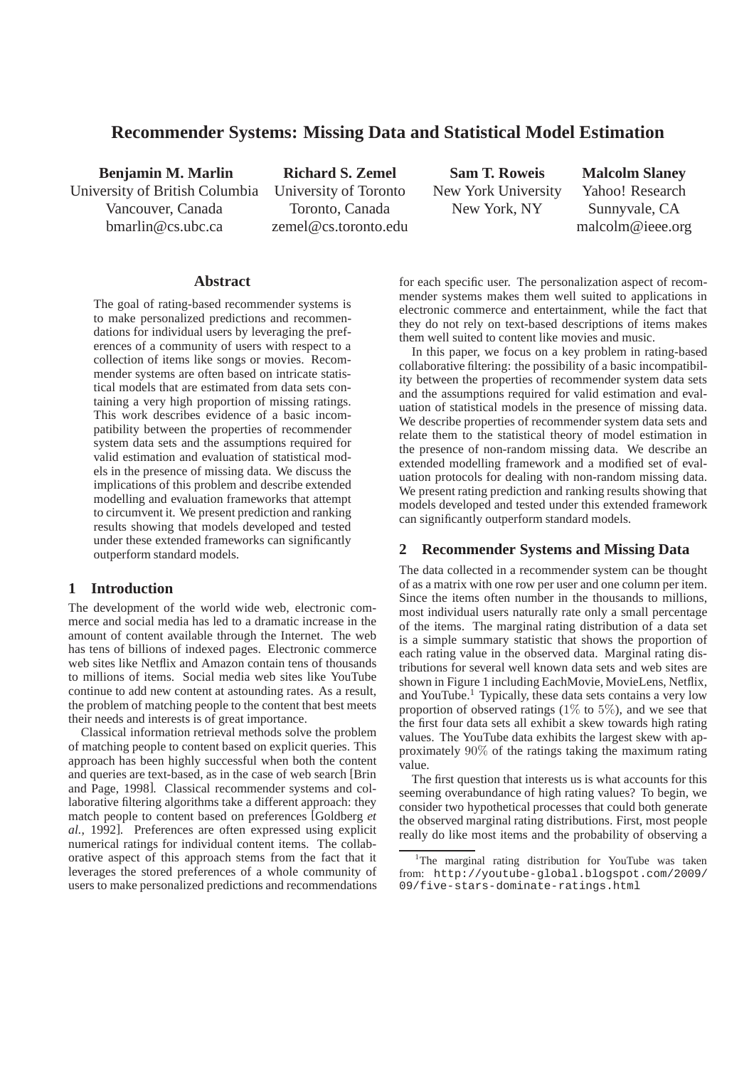# **Recommender Systems: Missing Data and Statistical Model Estimation**

**Benjamin M. Marlin** University of British Columbia Vancouver, Canada bmarlin@cs.ubc.ca

**Richard S. Zemel** University of Toronto Toronto, Canada zemel@cs.toronto.edu

**Sam T. Roweis** New York University New York, NY

**Malcolm Slaney** Yahoo! Research Sunnyvale, CA malcolm@ieee.org

### **Abstract**

The goal of rating-based recommender systems is to make personalized predictions and recommendations for individual users by leveraging the preferences of a community of users with respect to a collection of items like songs or movies. Recommender systems are often based on intricate statistical models that are estimated from data sets containing a very high proportion of missing ratings. This work describes evidence of a basic incompatibility between the properties of recommender system data sets and the assumptions required for valid estimation and evaluation of statistical models in the presence of missing data. We discuss the implications of this problem and describe extended modelling and evaluation frameworks that attempt to circumvent it. We present prediction and ranking results showing that models developed and tested under these extended frameworks can significantly outperform standard models.

# **1 Introduction**

The development of the world wide web, electronic commerce and social media has led to a dramatic increase in the amount of content available through the Internet. The web has tens of billions of indexed pages. Electronic commerce web sites like Netflix and Amazon contain tens of thousands to millions of items. Social media web sites like YouTube continue to add new content at astounding rates. As a result, the problem of matching people to the content that best meets their needs and interests is of great importance.

Classical information retrieval methods solve the problem of matching people to content based on explicit queries. This approach has been highly successful when both the content and queries are text-based, as in the case of web search [Brin and Page, 1998]. Classical recommender systems and collaborative filtering algorithms take a different approach: they match people to content based on preferences [Goldberg *et al.*, 1992]. Preferences are often expressed using explicit numerical ratings for individual content items. The collaborative aspect of this approach stems from the fact that it leverages the stored preferences of a whole community of users to make personalized predictions and recommendations for each specific user. The personalization aspect of recommender systems makes them well suited to applications in electronic commerce and entertainment, while the fact that they do not rely on text-based descriptions of items makes them well suited to content like movies and music.

In this paper, we focus on a key problem in rating-based collaborative filtering: the possibility of a basic incompatibility between the properties of recommender system data sets and the assumptions required for valid estimation and evaluation of statistical models in the presence of missing data. We describe properties of recommender system data sets and relate them to the statistical theory of model estimation in the presence of non-random missing data. We describe an extended modelling framework and a modified set of evaluation protocols for dealing with non-random missing data. We present rating prediction and ranking results showing that models developed and tested under this extended framework can significantly outperform standard models.

# **2 Recommender Systems and Missing Data**

The data collected in a recommender system can be thought of as a matrix with one row per user and one column per item. Since the items often number in the thousands to millions, most individual users naturally rate only a small percentage of the items. The marginal rating distribution of a data set is a simple summary statistic that shows the proportion of each rating value in the observed data. Marginal rating distributions for several well known data sets and web sites are shown in Figure 1 including EachMovie, MovieLens, Netflix, and YouTube.<sup>1</sup> Typically, these data sets contains a very low proportion of observed ratings  $(1\%$  to  $5\%)$ , and we see that the first four data sets all exhibit a skew towards high rating values. The YouTube data exhibits the largest skew with approximately 90% of the ratings taking the maximum rating value.

The first question that interests us is what accounts for this seeming overabundance of high rating values? To begin, we consider two hypothetical processes that could both generate the observed marginal rating distributions. First, most people really do like most items and the probability of observing a

<sup>&</sup>lt;sup>1</sup>The marginal rating distribution for YouTube was taken from: http://youtube-global.blogspot.com/2009/ 09/five-stars-dominate-ratings.html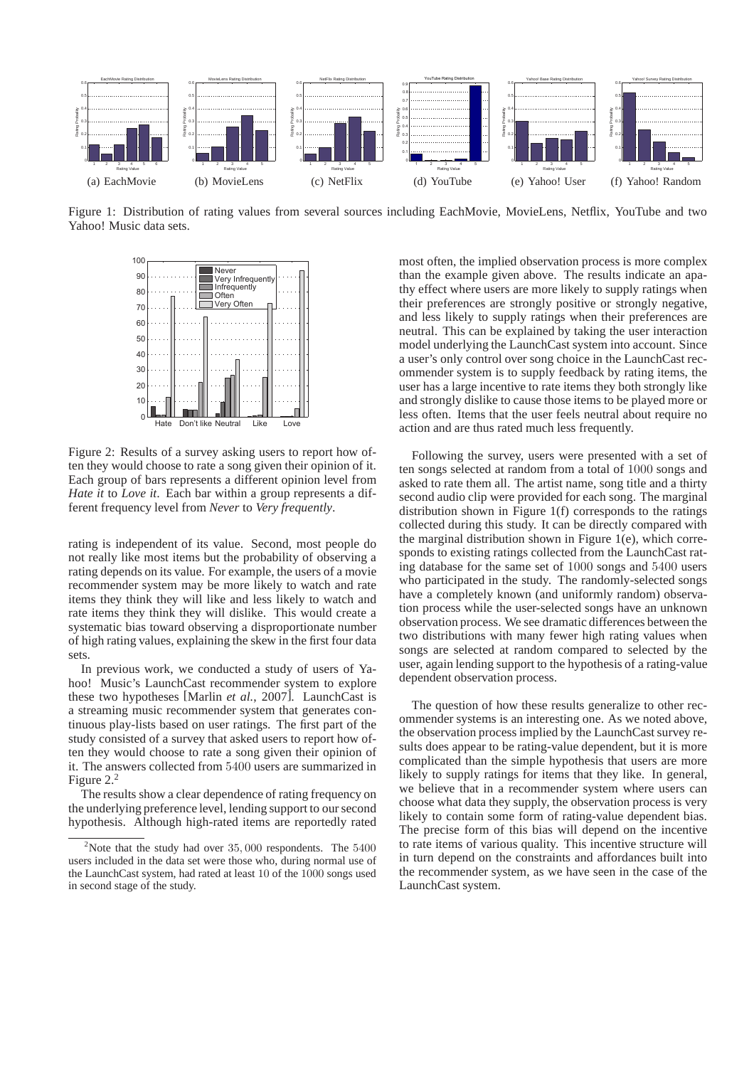

Figure 1: Distribution of rating values from several sources including EachMovie, MovieLens, Netflix, YouTube and two Yahoo! Music data sets.



Figure 2: Results of a survey asking users to report how often they would choose to rate a song given their opinion of it. Each group of bars represents a different opinion level from *Hate it* to *Love it*. Each bar within a group represents a different frequency level from *Never* to *Very frequently*.

rating is independent of its value. Second, most people do not really like most items but the probability of observing a rating depends on its value. For example, the users of a movie recommender system may be more likely to watch and rate items they think they will like and less likely to watch and rate items they think they will dislike. This would create a systematic bias toward observing a disproportionate number of high rating values, explaining the skew in the first four data sets.

In previous work, we conducted a study of users of Yahoo! Music's LaunchCast recommender system to explore these two hypotheses [Marlin *et al.*, 2007]. LaunchCast is a streaming music recommender system that generates continuous play-lists based on user ratings. The first part of the study consisted of a survey that asked users to report how often they would choose to rate a song given their opinion of it. The answers collected from 5400 users are summarized in Figure 2.<sup>2</sup>

The results show a clear dependence of rating frequency on the underlying preference level, lending support to our second hypothesis. Although high-rated items are reportedly rated most often, the implied observation process is more complex than the example given above. The results indicate an apathy effect where users are more likely to supply ratings when their preferences are strongly positive or strongly negative, and less likely to supply ratings when their preferences are neutral. This can be explained by taking the user interaction model underlying the LaunchCast system into account. Since a user's only control over song choice in the LaunchCast recommender system is to supply feedback by rating items, the user has a large incentive to rate items they both strongly like and strongly dislike to cause those items to be played more or less often. Items that the user feels neutral about require no action and are thus rated much less frequently.

Following the survey, users were presented with a set of ten songs selected at random from a total of 1000 songs and asked to rate them all. The artist name, song title and a thirty second audio clip were provided for each song. The marginal distribution shown in Figure 1(f) corresponds to the ratings collected during this study. It can be directly compared with the marginal distribution shown in Figure 1(e), which corresponds to existing ratings collected from the LaunchCast rating database for the same set of 1000 songs and 5400 users who participated in the study. The randomly-selected songs have a completely known (and uniformly random) observation process while the user-selected songs have an unknown observation process. We see dramatic differences between the two distributions with many fewer high rating values when songs are selected at random compared to selected by the user, again lending support to the hypothesis of a rating-value dependent observation process.

The question of how these results generalize to other recommender systems is an interesting one. As we noted above, the observation process implied by the LaunchCast survey results does appear to be rating-value dependent, but it is more complicated than the simple hypothesis that users are more likely to supply ratings for items that they like. In general, we believe that in a recommender system where users can choose what data they supply, the observation process is very likely to contain some form of rating-value dependent bias. The precise form of this bias will depend on the incentive to rate items of various quality. This incentive structure will in turn depend on the constraints and affordances built into the recommender system, as we have seen in the case of the LaunchCast system.

<sup>&</sup>lt;sup>2</sup>Note that the study had over  $35,000$  respondents. The  $5400$ users included in the data set were those who, during normal use of the LaunchCast system, had rated at least 10 of the 1000 songs used in second stage of the study.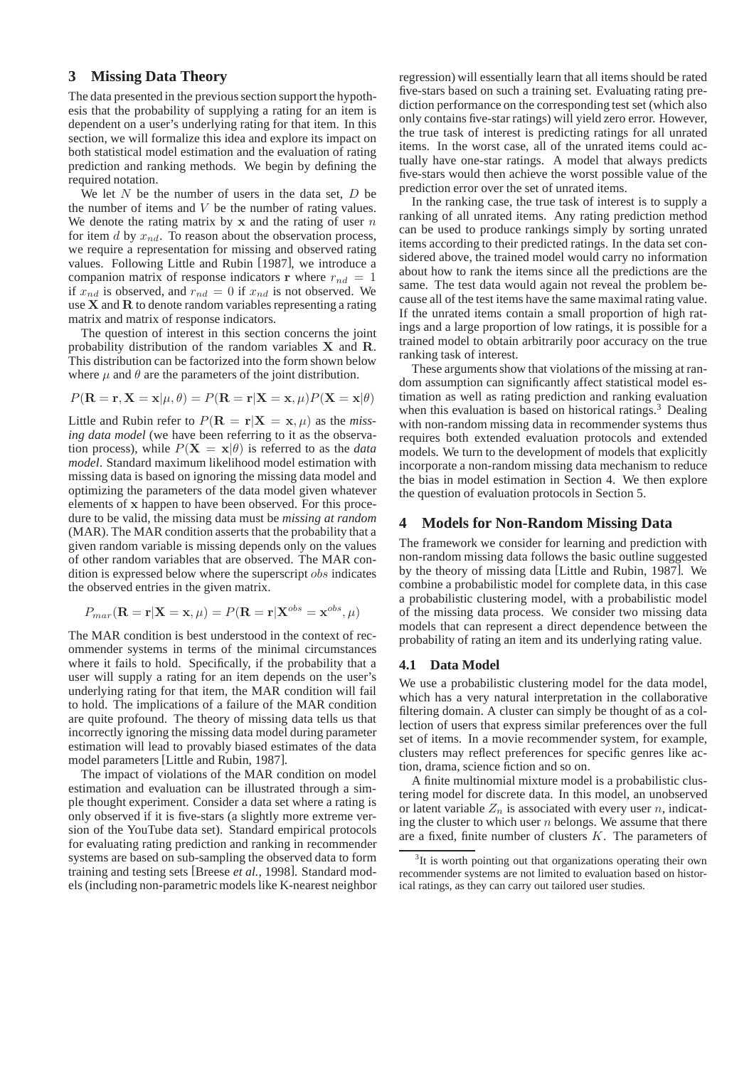# **3 Missing Data Theory**

The data presented in the previous section support the hypothesis that the probability of supplying a rating for an item is dependent on a user's underlying rating for that item. In this section, we will formalize this idea and explore its impact on both statistical model estimation and the evaluation of rating prediction and ranking methods. We begin by defining the required notation.

We let  $N$  be the number of users in the data set,  $D$  be the number of items and  $V$  be the number of rating values. We denote the rating matrix by  $x$  and the rating of user  $n$ for item d by  $x_{nd}$ . To reason about the observation process, we require a representation for missing and observed rating values. Following Little and Rubin [1987], we introduce a companion matrix of response indicators r where  $r_{nd} = 1$ if  $x_{nd}$  is observed, and  $r_{nd} = 0$  if  $x_{nd}$  is not observed. We use  $X$  and  $R$  to denote random variables representing a rating matrix and matrix of response indicators.

The question of interest in this section concerns the joint probability distribution of the random variables X and R. This distribution can be factorized into the form shown below where  $\mu$  and  $\theta$  are the parameters of the joint distribution.

$$
P(\mathbf{R} = \mathbf{r}, \mathbf{X} = \mathbf{x} | \mu, \theta) = P(\mathbf{R} = \mathbf{r} | \mathbf{X} = \mathbf{x}, \mu) P(\mathbf{X} = \mathbf{x} | \theta)
$$

Little and Rubin refer to  $P(\mathbf{R} = \mathbf{r} | \mathbf{X} = \mathbf{x}, \mu)$  as the *missing data model* (we have been referring to it as the observation process), while  $P(X = x | \theta)$  is referred to as the *data model*. Standard maximum likelihood model estimation with missing data is based on ignoring the missing data model and optimizing the parameters of the data model given whatever elements of x happen to have been observed. For this procedure to be valid, the missing data must be *missing at random* (MAR). The MAR condition asserts that the probability that a given random variable is missing depends only on the values of other random variables that are observed. The MAR condition is expressed below where the superscript obs indicates the observed entries in the given matrix.

$$
P_{mar}(\mathbf{R} = \mathbf{r}|\mathbf{X} = \mathbf{x}, \mu) = P(\mathbf{R} = \mathbf{r}|\mathbf{X}^{obs} = \mathbf{x}^{obs}, \mu)
$$

The MAR condition is best understood in the context of recommender systems in terms of the minimal circumstances where it fails to hold. Specifically, if the probability that a user will supply a rating for an item depends on the user's underlying rating for that item, the MAR condition will fail to hold. The implications of a failure of the MAR condition are quite profound. The theory of missing data tells us that incorrectly ignoring the missing data model during parameter estimation will lead to provably biased estimates of the data model parameters [Little and Rubin, 1987].

The impact of violations of the MAR condition on model estimation and evaluation can be illustrated through a simple thought experiment. Consider a data set where a rating is only observed if it is five-stars (a slightly more extreme version of the YouTube data set). Standard empirical protocols for evaluating rating prediction and ranking in recommender systems are based on sub-sampling the observed data to form training and testing sets [Breese *et al.*, 1998]. Standard models (including non-parametric models like K-nearest neighbor

regression) will essentially learn that all items should be rated five-stars based on such a training set. Evaluating rating prediction performance on the corresponding test set (which also only contains five-star ratings) will yield zero error. However, the true task of interest is predicting ratings for all unrated items. In the worst case, all of the unrated items could actually have one-star ratings. A model that always predicts five-stars would then achieve the worst possible value of the prediction error over the set of unrated items.

In the ranking case, the true task of interest is to supply a ranking of all unrated items. Any rating prediction method can be used to produce rankings simply by sorting unrated items according to their predicted ratings. In the data set considered above, the trained model would carry no information about how to rank the items since all the predictions are the same. The test data would again not reveal the problem because all of the test items have the same maximal rating value. If the unrated items contain a small proportion of high ratings and a large proportion of low ratings, it is possible for a trained model to obtain arbitrarily poor accuracy on the true ranking task of interest.

These arguments show that violations of the missing at random assumption can significantly affect statistical model estimation as well as rating prediction and ranking evaluation when this evaluation is based on historical ratings.<sup>3</sup> Dealing with non-random missing data in recommender systems thus requires both extended evaluation protocols and extended models. We turn to the development of models that explicitly incorporate a non-random missing data mechanism to reduce the bias in model estimation in Section 4. We then explore the question of evaluation protocols in Section 5.

# **4 Models for Non-Random Missing Data**

The framework we consider for learning and prediction with non-random missing data follows the basic outline suggested by the theory of missing data [Little and Rubin, 1987]. We combine a probabilistic model for complete data, in this case a probabilistic clustering model, with a probabilistic model of the missing data process. We consider two missing data models that can represent a direct dependence between the probability of rating an item and its underlying rating value.

### **4.1 Data Model**

We use a probabilistic clustering model for the data model, which has a very natural interpretation in the collaborative filtering domain. A cluster can simply be thought of as a collection of users that express similar preferences over the full set of items. In a movie recommender system, for example, clusters may reflect preferences for specific genres like action, drama, science fiction and so on.

A finite multinomial mixture model is a probabilistic clustering model for discrete data. In this model, an unobserved or latent variable  $Z_n$  is associated with every user n, indicating the cluster to which user  $n$  belongs. We assume that there are a fixed, finite number of clusters  $K$ . The parameters of

<sup>&</sup>lt;sup>3</sup>It is worth pointing out that organizations operating their own recommender systems are not limited to evaluation based on historical ratings, as they can carry out tailored user studies.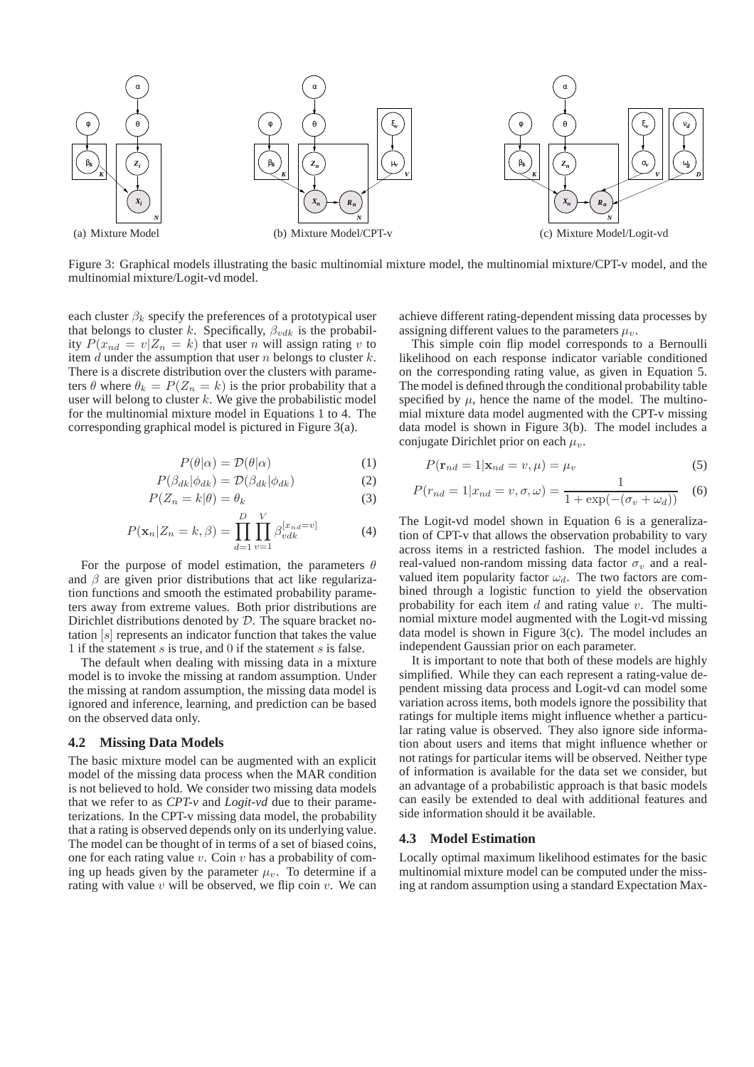

Figure 3: Graphical models illustrating the basic multinomial mixture model, the multinomial mixture/CPT-v model, and the multinomial mixture/Logit-vd model.

each cluster  $\beta_k$  specify the preferences of a prototypical user that belongs to cluster k. Specifically,  $\beta_{vdk}$  is the probability  $P(x_{nd} = v | Z_n = k)$  that user n will assign rating v to item  $d$  under the assumption that user  $n$  belongs to cluster  $k$ . There is a discrete distribution over the clusters with parameters  $\theta$  where  $\theta_k = P(Z_n = k)$  is the prior probability that a user will belong to cluster  $k$ . We give the probabilistic model for the multinomial mixture model in Equations 1 to 4. The corresponding graphical model is pictured in Figure 3(a).

$$
P(\theta|\alpha) = \mathcal{D}(\theta|\alpha) \tag{1}
$$

$$
P(\beta_{dk}|\phi_{dk}) = \mathcal{D}(\beta_{dk}|\phi_{dk})
$$
 (2)

$$
P(Z_n = k | \theta) = \theta_k \tag{3}
$$

$$
P(\mathbf{x}_n | Z_n = k, \beta) = \prod_{d=1}^{D} \prod_{v=1}^{V} \beta_{vdk}^{[x_{nd}=v]}
$$
(4)

For the purpose of model estimation, the parameters  $\theta$ and  $\beta$  are given prior distributions that act like regularization functions and smooth the estimated probability parameters away from extreme values. Both prior distributions are Dirichlet distributions denoted by D. The square bracket notation [s] represents an indicator function that takes the value 1 if the statement s is true, and 0 if the statement s is false.

The default when dealing with missing data in a mixture model is to invoke the missing at random assumption. Under the missing at random assumption, the missing data model is ignored and inference, learning, and prediction can be based on the observed data only.

#### **4.2 Missing Data Models**

The basic mixture model can be augmented with an explicit model of the missing data process when the MAR condition is not believed to hold. We consider two missing data models that we refer to as *CPT-v* and *Logit-vd* due to their parameterizations. In the CPT-v missing data model, the probability that a rating is observed depends only on its underlying value. The model can be thought of in terms of a set of biased coins, one for each rating value  $v$ . Coin  $v$  has a probability of coming up heads given by the parameter  $\mu_v$ . To determine if a rating with value v will be observed, we flip coin v. We can

achieve different rating-dependent missing data processes by assigning different values to the parameters  $\mu_v$ .

This simple coin flip model corresponds to a Bernoulli likelihood on each response indicator variable conditioned on the corresponding rating value, as given in Equation 5. The model is defined through the conditional probability table specified by  $\mu$ , hence the name of the model. The multinomial mixture data model augmented with the CPT-v missing data model is shown in Figure 3(b). The model includes a conjugate Dirichlet prior on each  $\mu_v$ .

$$
P(\mathbf{r}_{nd} = 1 | \mathbf{x}_{nd} = v, \mu) = \mu_v \tag{5}
$$

$$
P(r_{nd} = 1 | x_{nd} = v, \sigma, \omega) = \frac{1}{1 + \exp(-(\sigma_v + \omega_d))}
$$
(6)

The Logit-vd model shown in Equation 6 is a generalization of CPT-v that allows the observation probability to vary across items in a restricted fashion. The model includes a real-valued non-random missing data factor  $\sigma_v$  and a realvalued item popularity factor  $\omega_d$ . The two factors are combined through a logistic function to yield the observation probability for each item  $d$  and rating value  $v$ . The multinomial mixture model augmented with the Logit-vd missing data model is shown in Figure 3(c). The model includes an independent Gaussian prior on each parameter.

It is important to note that both of these models are highly simplified. While they can each represent a rating-value dependent missing data process and Logit-vd can model some variation across items, both models ignore the possibility that ratings for multiple items might influence whether a particular rating value is observed. They also ignore side information about users and items that might influence whether or not ratings for particular items will be observed. Neither type of information is available for the data set we consider, but an advantage of a probabilistic approach is that basic models can easily be extended to deal with additional features and side information should it be available.

# **4.3 Model Estimation**

Locally optimal maximum likelihood estimates for the basic multinomial mixture model can be computed under the missing at random assumption using a standard Expectation Max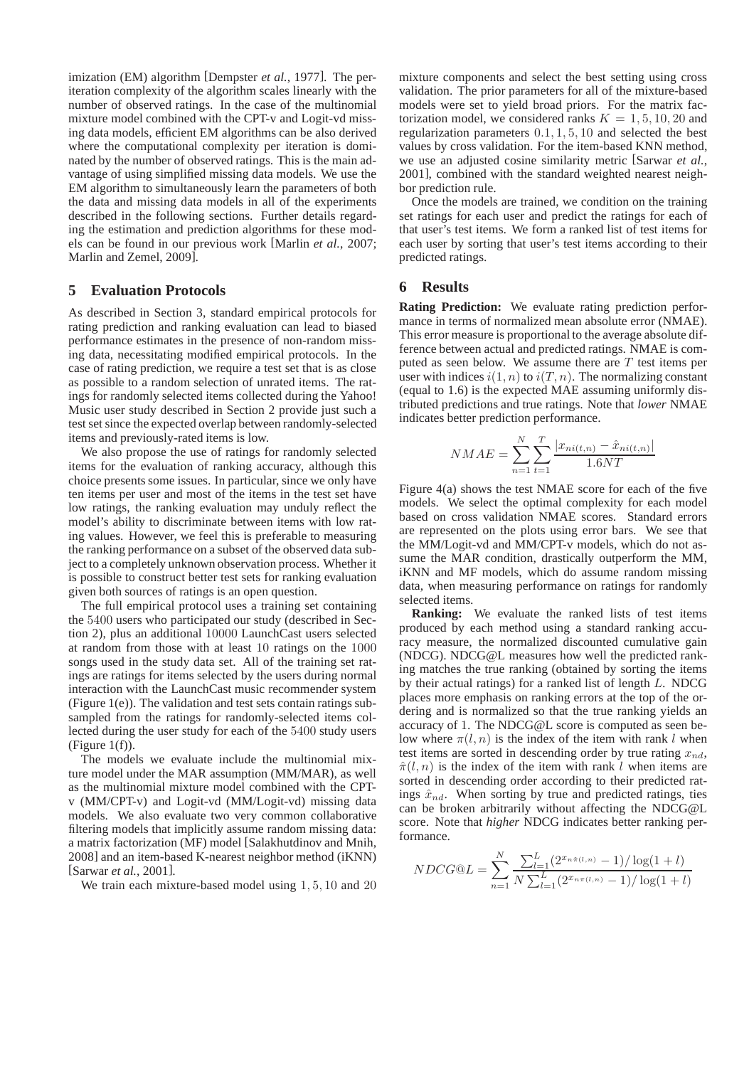imization (EM) algorithm [Dempster *et al.*, 1977]. The periteration complexity of the algorithm scales linearly with the number of observed ratings. In the case of the multinomial mixture model combined with the CPT-v and Logit-vd missing data models, efficient EM algorithms can be also derived where the computational complexity per iteration is dominated by the number of observed ratings. This is the main advantage of using simplified missing data models. We use the EM algorithm to simultaneously learn the parameters of both the data and missing data models in all of the experiments described in the following sections. Further details regarding the estimation and prediction algorithms for these models can be found in our previous work [Marlin *et al.*, 2007; Marlin and Zemel, 2009].

# **5 Evaluation Protocols**

As described in Section 3, standard empirical protocols for rating prediction and ranking evaluation can lead to biased performance estimates in the presence of non-random missing data, necessitating modified empirical protocols. In the case of rating prediction, we require a test set that is as close as possible to a random selection of unrated items. The ratings for randomly selected items collected during the Yahoo! Music user study described in Section 2 provide just such a test set since the expected overlap between randomly-selected items and previously-rated items is low.

We also propose the use of ratings for randomly selected items for the evaluation of ranking accuracy, although this choice presents some issues. In particular, since we only have ten items per user and most of the items in the test set have low ratings, the ranking evaluation may unduly reflect the model's ability to discriminate between items with low rating values. However, we feel this is preferable to measuring the ranking performance on a subset of the observed data subject to a completely unknown observation process. Whether it is possible to construct better test sets for ranking evaluation given both sources of ratings is an open question.

The full empirical protocol uses a training set containing the 5400 users who participated our study (described in Section 2), plus an additional 10000 LaunchCast users selected at random from those with at least 10 ratings on the 1000 songs used in the study data set. All of the training set ratings are ratings for items selected by the users during normal interaction with the LaunchCast music recommender system (Figure 1(e)). The validation and test sets contain ratings subsampled from the ratings for randomly-selected items collected during the user study for each of the 5400 study users  $(Figure 1(f)).$ 

The models we evaluate include the multinomial mixture model under the MAR assumption (MM/MAR), as well as the multinomial mixture model combined with the CPTv (MM/CPT-v) and Logit-vd (MM/Logit-vd) missing data models. We also evaluate two very common collaborative filtering models that implicitly assume random missing data: a matrix factorization (MF) model [Salakhutdinov and Mnih, 2008] and an item-based K-nearest neighbor method (iKNN) [Sarwar *et al.*, 2001].

We train each mixture-based model using 1, 5, 10 and 20

mixture components and select the best setting using cross validation. The prior parameters for all of the mixture-based models were set to yield broad priors. For the matrix factorization model, we considered ranks  $K = 1, 5, 10, 20$  and regularization parameters 0.1, 1, 5, 10 and selected the best values by cross validation. For the item-based KNN method, we use an adjusted cosine similarity metric [Sarwar *et al.*, 2001], combined with the standard weighted nearest neighbor prediction rule.

Once the models are trained, we condition on the training set ratings for each user and predict the ratings for each of that user's test items. We form a ranked list of test items for each user by sorting that user's test items according to their predicted ratings.

# **6 Results**

**Rating Prediction:** We evaluate rating prediction performance in terms of normalized mean absolute error (NMAE). This error measure is proportional to the average absolute difference between actual and predicted ratings. NMAE is computed as seen below. We assume there are  $T$  test items per user with indices  $i(1, n)$  to  $i(T, n)$ . The normalizing constant (equal to 1.6) is the expected MAE assuming uniformly distributed predictions and true ratings. Note that *lower* NMAE indicates better prediction performance.

$$
NMAE = \sum_{n=1}^{N} \sum_{t=1}^{T} \frac{|x_{ni(t,n)} - \hat{x}_{ni(t,n)}|}{1.6NT}
$$

Figure 4(a) shows the test NMAE score for each of the five models. We select the optimal complexity for each model based on cross validation NMAE scores. Standard errors are represented on the plots using error bars. We see that the MM/Logit-vd and MM/CPT-v models, which do not assume the MAR condition, drastically outperform the MM, iKNN and MF models, which do assume random missing data, when measuring performance on ratings for randomly selected items.

**Ranking:** We evaluate the ranked lists of test items produced by each method using a standard ranking accuracy measure, the normalized discounted cumulative gain (NDCG). NDCG@L measures how well the predicted ranking matches the true ranking (obtained by sorting the items by their actual ratings) for a ranked list of length L. NDCG places more emphasis on ranking errors at the top of the ordering and is normalized so that the true ranking yields an accuracy of 1. The NDCG@L score is computed as seen below where  $\pi(l, n)$  is the index of the item with rank l when test items are sorted in descending order by true rating  $x_{nd}$ ,  $\hat{\pi}(l,n)$  is the index of the item with rank l when items are sorted in descending order according to their predicted ratings  $\hat{x}_{nd}$ . When sorting by true and predicted ratings, ties can be broken arbitrarily without affecting the NDCG@L score. Note that *higher* NDCG indicates better ranking performance.

$$
NDCG@L = \sum_{n=1}^{N} \frac{\sum_{l=1}^{L} (2^{x_{n\hat{\pi}(l,n)}} - 1)/\log(1+l)}{N\sum_{l=1}^{L} (2^{x_{n\hat{\pi}(l,n)}} - 1)/\log(1+l)}
$$